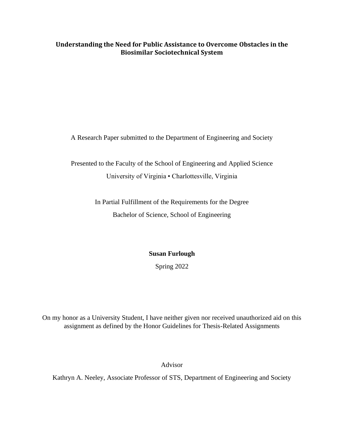# **Understanding the Need for Public Assistance to Overcome Obstacles in the Biosimilar Sociotechnical System**

A Research Paper submitted to the Department of Engineering and Society

Presented to the Faculty of the School of Engineering and Applied Science University of Virginia • Charlottesville, Virginia

> In Partial Fulfillment of the Requirements for the Degree Bachelor of Science, School of Engineering

> > **Susan Furlough**

Spring 2022

On my honor as a University Student, I have neither given nor received unauthorized aid on this assignment as defined by the Honor Guidelines for Thesis-Related Assignments

Advisor

Kathryn A. Neeley, Associate Professor of STS, Department of Engineering and Society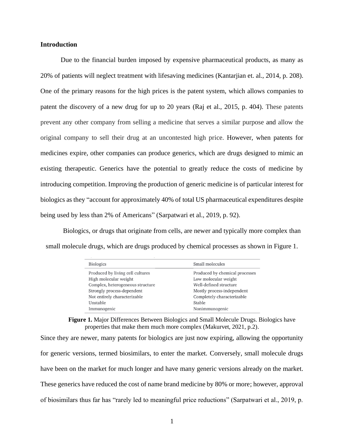# **Introduction**

Due to the financial burden imposed by expensive pharmaceutical products, as many as 20% of patients will neglect treatment with lifesaving medicines (Kantarjian et. al., 2014, p. 208). One of the primary reasons for the high prices is the patent system, which allows companies to patent the discovery of a new drug for up to 20 years (Raj et al., 2015, p. 404). These patents prevent any other company from selling a medicine that serves a similar purpose and allow the original company to sell their drug at an uncontested high price. However, when patents for medicines expire, other companies can produce generics, which are drugs designed to mimic an existing therapeutic. Generics have the potential to greatly reduce the costs of medicine by introducing competition. Improving the production of generic medicine is of particular interest for biologics as they "account for approximately 40% of total US pharmaceutical expenditures despite being used by less than 2% of Americans" (Sarpatwari et al., 2019, p. 92).

Biologics, or drugs that originate from cells, are newer and typically more complex than small molecule drugs, which are drugs produced by chemical processes as shown in Figure 1.

| <b>Biologics</b>                 | Small molecules                |
|----------------------------------|--------------------------------|
| Produced by living cell cultures | Produced by chemical processes |
| High molecular weight            | Low molecular weight           |
| Complex, heterogeneous structure | Well-defined structure         |
| Strongly process-dependent       | Mostly process-independent     |
| Not entirely characterizable     | Completely characterizable     |
| Unstable                         | Stable                         |
| Immunogenic                      | Nonimmunogenic                 |

**Figure 1.** Major Differences Between Biologics and Small Molecule Drugs. Biologics have properties that make them much more complex (Makurvet, 2021, p.2).

Since they are newer, many patents for biologics are just now expiring, allowing the opportunity for generic versions, termed biosimilars, to enter the market. Conversely, small molecule drugs have been on the market for much longer and have many generic versions already on the market. These generics have reduced the cost of name brand medicine by 80% or more; however, approval of biosimilars thus far has "rarely led to meaningful price reductions" (Sarpatwari et al., 2019, p.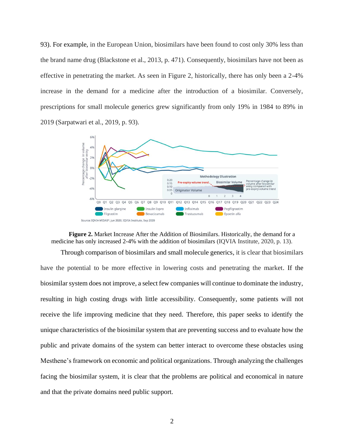93). For example, in the European Union, biosimilars have been found to cost only 30% less than the brand name drug (Blackstone et al., 2013, p. 471). Consequently, biosimilars have not been as effective in penetrating the market. As seen in Figure 2, historically, there has only been a 2-4% increase in the demand for a medicine after the introduction of a biosimilar. Conversely, prescriptions for small molecule generics grew significantly from only 19% in 1984 to 89% in 2019 (Sarpatwari et al., 2019, p. 93).





Through comparison of biosimilars and small molecule generics, it is clear that biosimilars have the potential to be more effective in lowering costs and penetrating the market. If the biosimilar system does not improve, a select few companies will continue to dominate the industry, resulting in high costing drugs with little accessibility. Consequently, some patients will not receive the life improving medicine that they need. Therefore, this paper seeks to identify the unique characteristics of the biosimilar system that are preventing success and to evaluate how the public and private domains of the system can better interact to overcome these obstacles using Mesthene's framework on economic and political organizations. Through analyzing the challenges facing the biosimilar system, it is clear that the problems are political and economical in nature and that the private domains need public support.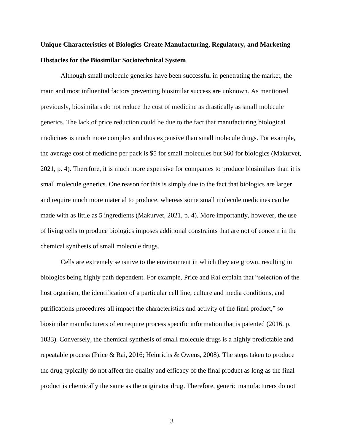# **Unique Characteristics of Biologics Create Manufacturing, Regulatory, and Marketing Obstacles for the Biosimilar Sociotechnical System**

Although small molecule generics have been successful in penetrating the market, the main and most influential factors preventing biosimilar success are unknown. As mentioned previously, biosimilars do not reduce the cost of medicine as drastically as small molecule generics. The lack of price reduction could be due to the fact that manufacturing biological medicines is much more complex and thus expensive than small molecule drugs. For example, the average cost of medicine per pack is \$5 for small molecules but \$60 for biologics (Makurvet, 2021, p. 4). Therefore, it is much more expensive for companies to produce biosimilars than it is small molecule generics. One reason for this is simply due to the fact that biologics are larger and require much more material to produce, whereas some small molecule medicines can be made with as little as 5 ingredients (Makurvet, 2021, p. 4). More importantly, however, the use of living cells to produce biologics imposes additional constraints that are not of concern in the chemical synthesis of small molecule drugs.

Cells are extremely sensitive to the environment in which they are grown, resulting in biologics being highly path dependent. For example, Price and Rai explain that "selection of the host organism, the identification of a particular cell line, culture and media conditions, and purifications procedures all impact the characteristics and activity of the final product," so biosimilar manufacturers often require process specific information that is patented (2016, p. 1033). Conversely, the chemical synthesis of small molecule drugs is a highly predictable and repeatable process (Price & Rai, 2016; Heinrichs & Owens, 2008). The steps taken to produce the drug typically do not affect the quality and efficacy of the final product as long as the final product is chemically the same as the originator drug. Therefore, generic manufacturers do not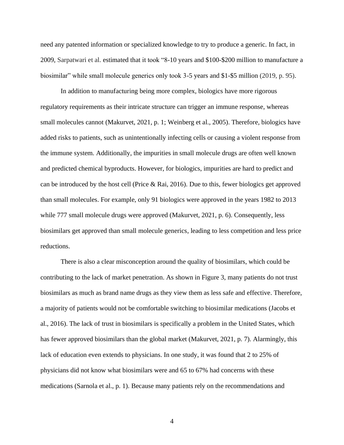need any patented information or specialized knowledge to try to produce a generic. In fact, in 2009, Sarpatwari et al. estimated that it took "8-10 years and \$100-\$200 million to manufacture a biosimilar" while small molecule generics only took 3-5 years and \$1-\$5 million (2019, p. 95).

In addition to manufacturing being more complex, biologics have more rigorous regulatory requirements as their intricate structure can trigger an immune response, whereas small molecules cannot (Makurvet, 2021, p. 1; Weinberg et al., 2005). Therefore, biologics have added risks to patients, such as unintentionally infecting cells or causing a violent response from the immune system. Additionally, the impurities in small molecule drugs are often well known and predicted chemical byproducts. However, for biologics, impurities are hard to predict and can be introduced by the host cell (Price & Rai, 2016). Due to this, fewer biologics get approved than small molecules. For example, only 91 biologics were approved in the years 1982 to 2013 while 777 small molecule drugs were approved (Makurvet, 2021, p. 6). Consequently, less biosimilars get approved than small molecule generics, leading to less competition and less price reductions.

There is also a clear misconception around the quality of biosimilars, which could be contributing to the lack of market penetration. As shown in Figure 3, many patients do not trust biosimilars as much as brand name drugs as they view them as less safe and effective. Therefore, a majority of patients would not be comfortable switching to biosimilar medications (Jacobs et al., 2016). The lack of trust in biosimilars is specifically a problem in the United States, which has fewer approved biosimilars than the global market (Makurvet, 2021, p. 7). Alarmingly, this lack of education even extends to physicians. In one study, it was found that 2 to 25% of physicians did not know what biosimilars were and 65 to 67% had concerns with these medications (Sarnola et al., p. 1). Because many patients rely on the recommendations and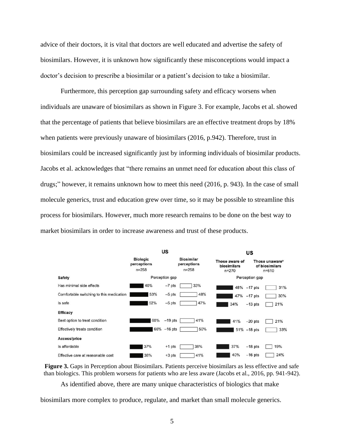advice of their doctors, it is vital that doctors are well educated and advertise the safety of biosimilars. However, it is unknown how significantly these misconceptions would impact a doctor's decision to prescribe a biosimilar or a patient's decision to take a biosimilar.

Furthermore, this perception gap surrounding safety and efficacy worsens when individuals are unaware of biosimilars as shown in Figure 3. For example, Jacobs et al. showed that the percentage of patients that believe biosimilars are an effective treatment drops by 18% when patients were previously unaware of biosimilars (2016, p.942). Therefore, trust in biosimilars could be increased significantly just by informing individuals of biosimilar products. Jacobs et al. acknowledges that "there remains an unmet need for education about this class of drugs;" however, it remains unknown how to meet this need (2016, p. 943). In the case of small molecule generics, trust and education grew over time, so it may be possible to streamline this process for biosimilars. However, much more research remains to be done on the best way to market biosimilars in order to increase awareness and trust of these products.



**Figure 3.** Gaps in Perception about Biosimilars. Patients perceive biosimilars as less effective and safe than biologics. This problem worsens for patients who are less aware (Jacobs et al., 2016, pp. 941-942).

As identified above, there are many unique characteristics of biologics that make

biosimilars more complex to produce, regulate, and market than small molecule generics.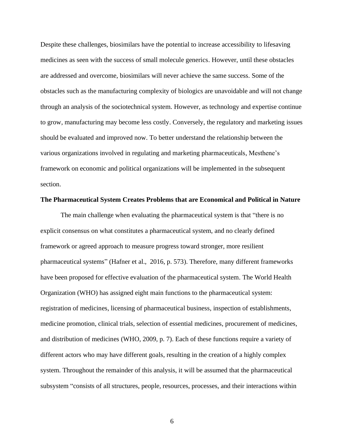Despite these challenges, biosimilars have the potential to increase accessibility to lifesaving medicines as seen with the success of small molecule generics. However, until these obstacles are addressed and overcome, biosimilars will never achieve the same success. Some of the obstacles such as the manufacturing complexity of biologics are unavoidable and will not change through an analysis of the sociotechnical system. However, as technology and expertise continue to grow, manufacturing may become less costly. Conversely, the regulatory and marketing issues should be evaluated and improved now. To better understand the relationship between the various organizations involved in regulating and marketing pharmaceuticals, Mesthene's framework on economic and political organizations will be implemented in the subsequent section.

#### **The Pharmaceutical System Creates Problems that are Economical and Political in Nature**

The main challenge when evaluating the pharmaceutical system is that "there is no explicit consensus on what constitutes a pharmaceutical system, and no clearly defined framework or agreed approach to measure progress toward stronger, more resilient pharmaceutical systems" (Hafner et al., 2016, p. 573). Therefore, many different frameworks have been proposed for effective evaluation of the pharmaceutical system. The World Health Organization (WHO) has assigned eight main functions to the pharmaceutical system: registration of medicines, licensing of pharmaceutical business, inspection of establishments, medicine promotion, clinical trials, selection of essential medicines, procurement of medicines, and distribution of medicines (WHO, 2009, p. 7). Each of these functions require a variety of different actors who may have different goals, resulting in the creation of a highly complex system. Throughout the remainder of this analysis, it will be assumed that the pharmaceutical subsystem "consists of all structures, people, resources, processes, and their interactions within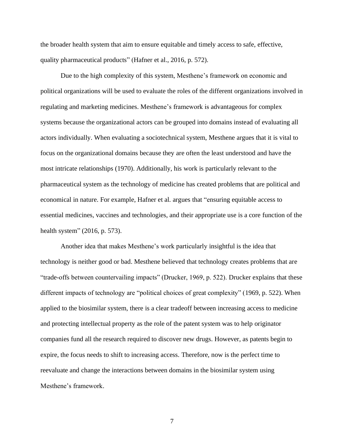the broader health system that aim to ensure equitable and timely access to safe, effective, quality pharmaceutical products" (Hafner et al., 2016, p. 572).

Due to the high complexity of this system, Mesthene's framework on economic and political organizations will be used to evaluate the roles of the different organizations involved in regulating and marketing medicines. Mesthene's framework is advantageous for complex systems because the organizational actors can be grouped into domains instead of evaluating all actors individually. When evaluating a sociotechnical system, Mesthene argues that it is vital to focus on the organizational domains because they are often the least understood and have the most intricate relationships (1970). Additionally, his work is particularly relevant to the pharmaceutical system as the technology of medicine has created problems that are political and economical in nature. For example, Hafner et al. argues that "ensuring equitable access to essential medicines, vaccines and technologies, and their appropriate use is a core function of the health system" (2016, p. 573).

Another idea that makes Mesthene's work particularly insightful is the idea that technology is neither good or bad. Mesthene believed that technology creates problems that are "trade-offs between countervailing impacts" (Drucker, 1969, p. 522). Drucker explains that these different impacts of technology are "political choices of great complexity" (1969, p. 522). When applied to the biosimilar system, there is a clear tradeoff between increasing access to medicine and protecting intellectual property as the role of the patent system was to help originator companies fund all the research required to discover new drugs. However, as patents begin to expire, the focus needs to shift to increasing access. Therefore, now is the perfect time to reevaluate and change the interactions between domains in the biosimilar system using Mesthene's framework.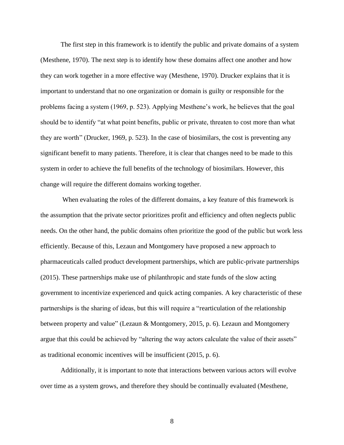The first step in this framework is to identify the public and private domains of a system (Mesthene, 1970). The next step is to identify how these domains affect one another and how they can work together in a more effective way (Mesthene, 1970). Drucker explains that it is important to understand that no one organization or domain is guilty or responsible for the problems facing a system (1969, p. 523). Applying Mesthene's work, he believes that the goal should be to identify "at what point benefits, public or private, threaten to cost more than what they are worth" (Drucker, 1969, p. 523). In the case of biosimilars, the cost is preventing any significant benefit to many patients. Therefore, it is clear that changes need to be made to this system in order to achieve the full benefits of the technology of biosimilars. However, this change will require the different domains working together.

When evaluating the roles of the different domains, a key feature of this framework is the assumption that the private sector prioritizes profit and efficiency and often neglects public needs. On the other hand, the public domains often prioritize the good of the public but work less efficiently. Because of this, Lezaun and Montgomery have proposed a new approach to pharmaceuticals called product development partnerships, which are public-private partnerships (2015). These partnerships make use of philanthropic and state funds of the slow acting government to incentivize experienced and quick acting companies. A key characteristic of these partnerships is the sharing of ideas, but this will require a "rearticulation of the relationship between property and value" (Lezaun & Montgomery, 2015, p. 6). Lezaun and Montgomery argue that this could be achieved by "altering the way actors calculate the value of their assets" as traditional economic incentives will be insufficient (2015, p. 6).

Additionally, it is important to note that interactions between various actors will evolve over time as a system grows, and therefore they should be continually evaluated (Mesthene,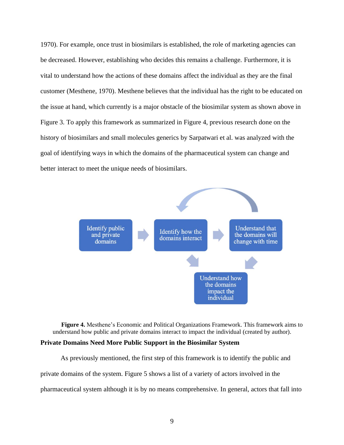1970). For example, once trust in biosimilars is established, the role of marketing agencies can be decreased. However, establishing who decides this remains a challenge. Furthermore, it is vital to understand how the actions of these domains affect the individual as they are the final customer (Mesthene, 1970). Mesthene believes that the individual has the right to be educated on the issue at hand, which currently is a major obstacle of the biosimilar system as shown above in Figure 3. To apply this framework as summarized in Figure 4, previous research done on the history of biosimilars and small molecules generics by Sarpatwari et al. was analyzed with the goal of identifying ways in which the domains of the pharmaceutical system can change and better interact to meet the unique needs of biosimilars.



**Figure 4.** Mesthene's Economic and Political Organizations Framework. This framework aims to understand how public and private domains interact to impact the individual (created by author). **Private Domains Need More Public Support in the Biosimilar System**

As previously mentioned, the first step of this framework is to identify the public and private domains of the system. Figure 5 shows a list of a variety of actors involved in the pharmaceutical system although it is by no means comprehensive. In general, actors that fall into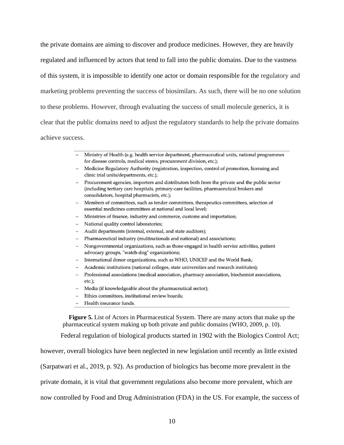the private domains are aiming to discover and produce medicines. However, they are heavily regulated and influenced by actors that tend to fall into the public domains. Due to the vastness of this system, it is impossible to identify one actor or domain responsible for the regulatory and marketing problems preventing the success of biosimilars. As such, there will be no one solution to these problems. However, through evaluating the success of small molecule generics, it is clear that the public domains need to adjust the regulatory standards to help the private domains achieve success.

- Ministry of Health (e.g. health service department, pharmaceutical units, national programmes for disease controls, medical stores, procurement division, etc.);
- Medicine Regulatory Authority (registration, inspection, control of promotion, licensing and clinic trial units/departments, etc.);
- Procurement agencies, importers and distributors both from the private and the public sector (including tertiary care hospitals, primary-care facilities, pharmaceutical brokers and consolidators, hospital pharmacists, etc.);
- Members of committees, such as tender committees, therapeutics committees, selection of  $$ essential medicines committees at national and local level;
- Ministries of finance, industry and commerce, customs and importation;
- National quality control laboratories;
- Audit departments (internal, external, and state auditors);
- Pharmaceutical industry (multinationals and national) and associations;
- Nongovernmental organizations, such as those engaged in health service activities, patient advocacy groups, "watch-dog" organizations;
- International donor organizations, such as WHO, UNICEF and the World Bank;
- Academic institutions (national colleges, state universities and research institutes);
- Professional associations (medical association, pharmacy association, biochemist associations,  $\sim$  $etc.$ );
- Media (if knowledgeable about the pharmaceutical sector);
- Ethics committees, institutional review boards;
- Health insurance funds.

**Figure 5.** List of Actors in Pharmaceutical System. There are many actors that make up the pharmaceutical system making up both private and public domains (WHO, 2009, p. 10).

Federal regulation of biological products started in 1902 with the Biologics Control Act;

however, overall biologics have been neglected in new legislation until recently as little existed

(Sarpatwari et al., 2019, p. 92). As production of biologics has become more prevalent in the

private domain, it is vital that government regulations also become more prevalent, which are

now controlled by Food and Drug Administration (FDA) in the US. For example, the success of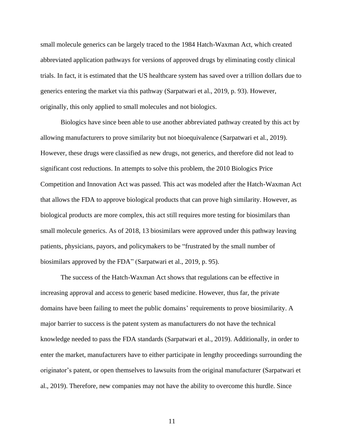small molecule generics can be largely traced to the 1984 Hatch-Waxman Act, which created abbreviated application pathways for versions of approved drugs by eliminating costly clinical trials. In fact, it is estimated that the US healthcare system has saved over a trillion dollars due to generics entering the market via this pathway (Sarpatwari et al., 2019, p. 93). However, originally, this only applied to small molecules and not biologics.

Biologics have since been able to use another abbreviated pathway created by this act by allowing manufacturers to prove similarity but not bioequivalence (Sarpatwari et al., 2019). However, these drugs were classified as new drugs, not generics, and therefore did not lead to significant cost reductions. In attempts to solve this problem, the 2010 Biologics Price Competition and Innovation Act was passed. This act was modeled after the Hatch-Waxman Act that allows the FDA to approve biological products that can prove high similarity. However, as biological products are more complex, this act still requires more testing for biosimilars than small molecule generics. As of 2018, 13 biosimilars were approved under this pathway leaving patients, physicians, payors, and policymakers to be "frustrated by the small number of biosimilars approved by the FDA" (Sarpatwari et al., 2019, p. 95).

The success of the Hatch-Waxman Act shows that regulations can be effective in increasing approval and access to generic based medicine. However, thus far, the private domains have been failing to meet the public domains' requirements to prove biosimilarity. A major barrier to success is the patent system as manufacturers do not have the technical knowledge needed to pass the FDA standards (Sarpatwari et al., 2019). Additionally, in order to enter the market, manufacturers have to either participate in lengthy proceedings surrounding the originator's patent, or open themselves to lawsuits from the original manufacturer (Sarpatwari et al., 2019). Therefore, new companies may not have the ability to overcome this hurdle. Since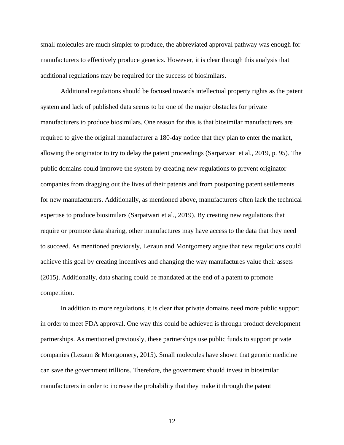small molecules are much simpler to produce, the abbreviated approval pathway was enough for manufacturers to effectively produce generics. However, it is clear through this analysis that additional regulations may be required for the success of biosimilars.

Additional regulations should be focused towards intellectual property rights as the patent system and lack of published data seems to be one of the major obstacles for private manufacturers to produce biosimilars. One reason for this is that biosimilar manufacturers are required to give the original manufacturer a 180-day notice that they plan to enter the market, allowing the originator to try to delay the patent proceedings (Sarpatwari et al., 2019, p. 95). The public domains could improve the system by creating new regulations to prevent originator companies from dragging out the lives of their patents and from postponing patent settlements for new manufacturers. Additionally, as mentioned above, manufacturers often lack the technical expertise to produce biosimilars (Sarpatwari et al., 2019). By creating new regulations that require or promote data sharing, other manufactures may have access to the data that they need to succeed. As mentioned previously, Lezaun and Montgomery argue that new regulations could achieve this goal by creating incentives and changing the way manufactures value their assets (2015). Additionally, data sharing could be mandated at the end of a patent to promote competition.

In addition to more regulations, it is clear that private domains need more public support in order to meet FDA approval. One way this could be achieved is through product development partnerships. As mentioned previously, these partnerships use public funds to support private companies (Lezaun & Montgomery, 2015). Small molecules have shown that generic medicine can save the government trillions. Therefore, the government should invest in biosimilar manufacturers in order to increase the probability that they make it through the patent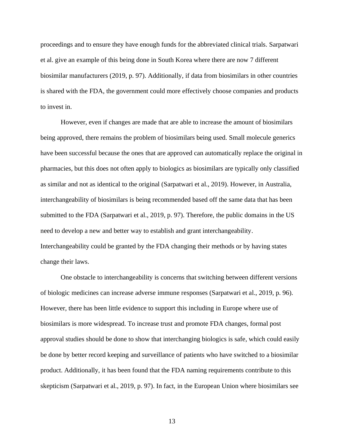proceedings and to ensure they have enough funds for the abbreviated clinical trials. Sarpatwari et al. give an example of this being done in South Korea where there are now 7 different biosimilar manufacturers (2019, p. 97). Additionally, if data from biosimilars in other countries is shared with the FDA, the government could more effectively choose companies and products to invest in.

However, even if changes are made that are able to increase the amount of biosimilars being approved, there remains the problem of biosimilars being used. Small molecule generics have been successful because the ones that are approved can automatically replace the original in pharmacies, but this does not often apply to biologics as biosimilars are typically only classified as similar and not as identical to the original (Sarpatwari et al., 2019). However, in Australia, interchangeability of biosimilars is being recommended based off the same data that has been submitted to the FDA (Sarpatwari et al., 2019, p. 97). Therefore, the public domains in the US need to develop a new and better way to establish and grant interchangeability. Interchangeability could be granted by the FDA changing their methods or by having states change their laws.

One obstacle to interchangeability is concerns that switching between different versions of biologic medicines can increase adverse immune responses (Sarpatwari et al., 2019, p. 96). However, there has been little evidence to support this including in Europe where use of biosimilars is more widespread. To increase trust and promote FDA changes, formal post approval studies should be done to show that interchanging biologics is safe, which could easily be done by better record keeping and surveillance of patients who have switched to a biosimilar product. Additionally, it has been found that the FDA naming requirements contribute to this skepticism (Sarpatwari et al., 2019, p. 97). In fact, in the European Union where biosimilars see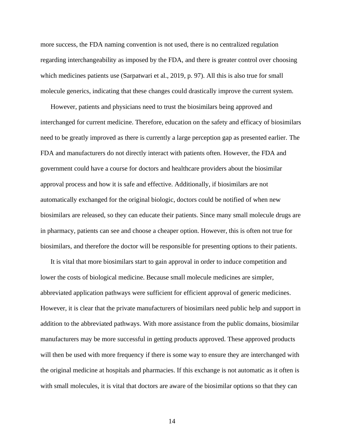more success, the FDA naming convention is not used, there is no centralized regulation regarding interchangeability as imposed by the FDA, and there is greater control over choosing which medicines patients use (Sarpatwari et al., 2019, p. 97). All this is also true for small molecule generics, indicating that these changes could drastically improve the current system.

However, patients and physicians need to trust the biosimilars being approved and interchanged for current medicine. Therefore, education on the safety and efficacy of biosimilars need to be greatly improved as there is currently a large perception gap as presented earlier. The FDA and manufacturers do not directly interact with patients often. However, the FDA and government could have a course for doctors and healthcare providers about the biosimilar approval process and how it is safe and effective. Additionally, if biosimilars are not automatically exchanged for the original biologic, doctors could be notified of when new biosimilars are released, so they can educate their patients. Since many small molecule drugs are in pharmacy, patients can see and choose a cheaper option. However, this is often not true for biosimilars, and therefore the doctor will be responsible for presenting options to their patients.

It is vital that more biosimilars start to gain approval in order to induce competition and lower the costs of biological medicine. Because small molecule medicines are simpler, abbreviated application pathways were sufficient for efficient approval of generic medicines. However, it is clear that the private manufacturers of biosimilars need public help and support in addition to the abbreviated pathways. With more assistance from the public domains, biosimilar manufacturers may be more successful in getting products approved. These approved products will then be used with more frequency if there is some way to ensure they are interchanged with the original medicine at hospitals and pharmacies. If this exchange is not automatic as it often is with small molecules, it is vital that doctors are aware of the biosimilar options so that they can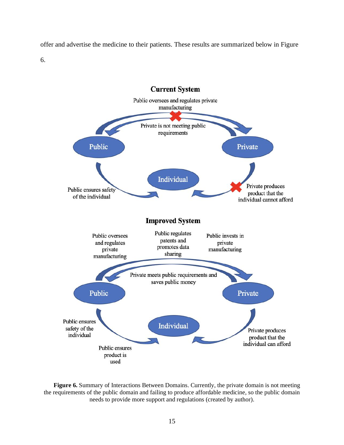offer and advertise the medicine to their patients. These results are summarized below in Figure 6.



**Figure 6.** Summary of Interactions Between Domains. Currently, the private domain is not meeting the requirements of the public domain and failing to produce affordable medicine, so the public domain needs to provide more support and regulations (created by author).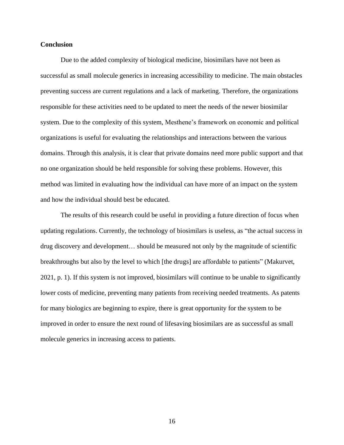### **Conclusion**

Due to the added complexity of biological medicine, biosimilars have not been as successful as small molecule generics in increasing accessibility to medicine. The main obstacles preventing success are current regulations and a lack of marketing. Therefore, the organizations responsible for these activities need to be updated to meet the needs of the newer biosimilar system. Due to the complexity of this system, Mesthene's framework on economic and political organizations is useful for evaluating the relationships and interactions between the various domains. Through this analysis, it is clear that private domains need more public support and that no one organization should be held responsible for solving these problems. However, this method was limited in evaluating how the individual can have more of an impact on the system and how the individual should best be educated.

The results of this research could be useful in providing a future direction of focus when updating regulations. Currently, the technology of biosimilars is useless, as "the actual success in drug discovery and development… should be measured not only by the magnitude of scientific breakthroughs but also by the level to which [the drugs] are affordable to patients" (Makurvet, 2021, p. 1). If this system is not improved, biosimilars will continue to be unable to significantly lower costs of medicine, preventing many patients from receiving needed treatments. As patents for many biologics are beginning to expire, there is great opportunity for the system to be improved in order to ensure the next round of lifesaving biosimilars are as successful as small molecule generics in increasing access to patients.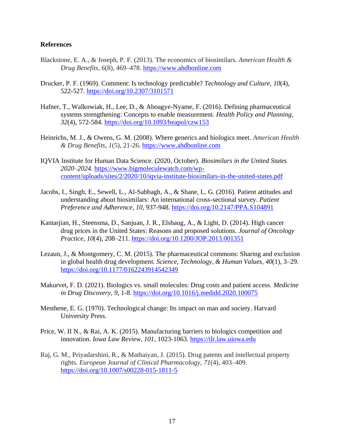# **References**

- Blackstone, E. A., & Joseph, P. F. (2013). The economics of biosimilars*. American Health & Drug Benefits*, *6*(8), 469–478. [https://www.ahdbonline.com](https://www.ahdbonline.com/)
- Drucker, P. F. (1969). Comment: Is technology predictable? *Technology and Culture*, *10*(4), 522-527.<https://doi.org/10.2307/3101571>
- Hafner, T., Walkowiak, H., Lee, D., & Aboagye-Nyame, F. (2016). Defining pharmaceutical systems strengthening: Concepts to enable measurement. *Health Policy and Planning, 32*(4), 572-584.<https://doi.org/10.1093/heapol/czw153>
- Heinrichs, M. J., & Owens, G. M. (2008). Where generics and biologics meet. *American Health & Drug Benefits*, *1*(5), 21-26. [https://www.ahdbonline.com](https://www.ahdbonline.com/)
- IQVIA Institute for Human Data Science. (2020, October). *Biosimilars in the United States 2020–2024*. [https://www.bigmoleculewatch.com/wp](https://www.bigmoleculewatch.com/wp-content/uploads/sites/2/2020/10/iqvia-institute-biosimilars-in-the-united-states.pdf)[content/uploads/sites/2/2020/10/iqvia-institute-biosimilars-in-the-united-states.pdf](https://www.bigmoleculewatch.com/wp-content/uploads/sites/2/2020/10/iqvia-institute-biosimilars-in-the-united-states.pdf)
- Jacobs, I., Singh, E., Sewell, L., Al-Sabbagh, A., & Shane, L. G. (2016). Patient attitudes and understanding about biosimilars: An international cross-sectional survey. *Patient Preference and Adherence*, *10*, 937-948.<https://doi.org/10.2147/PPA.S104891>
- Kantarjian, H., Steensma, D., Sanjuan, J. R., Elshaug, A., & Light, D. (2014). High cancer drug prices in the United States: Reasons and proposed solutions. *Journal of Oncology Practice*, *10*(4), 208–211.<https://doi.org/10.1200/JOP.2013.001351>
- Lezaun, J., & Montgomery, C. M. (2015). The pharmaceutical commons: Sharing and exclusion in global health drug development. *Science, Technology, & Human Values*, *40*(1), 3–29. <https://doi.org/10.1177/0162243914542349>
- Makurvet, F. D. (2021). Biologics vs. small molecules: Drug costs and patient access. *Medicine in Drug Discovery*, *9*, 1-8.<https://doi.org/10.1016/j.medidd.2020.100075>
- Mesthene, E. G. (1970). Technological change: Its impact on man and society*.* Harvard University Press.
- Price, W. II N., & Rai, A. K. (2015). Manufacturing barriers to biologics competition and innovation. *Iowa Law Review, 101*, 1023-1063. [https://ilr.law.uiowa.edu](https://ilr.law.uiowa.edu/)
- Raj, G. M., Priyadarshini, R., & Mathaiyan, J. (2015). Drug patents and intellectual property rights. *European Journal of Clinical Pharmacology*, *71*(4), 403–409. <https://doi.org/10.1007/s00228-015-1811-5>